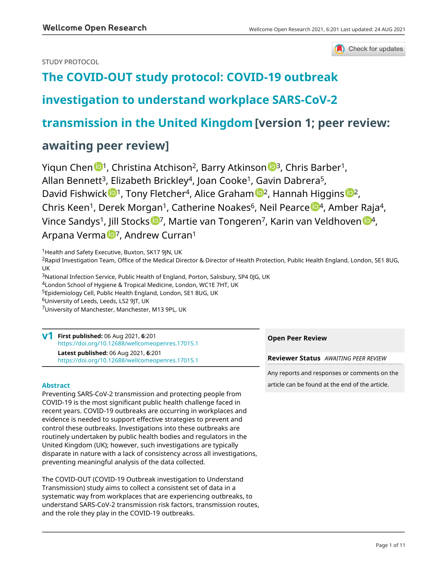Check for updates

# STUDY PROTOCOL

# **[The COVID-OUT study protocol: COVID-19 outbreak](https://wellcomeopenresearch.org/articles/6-201/v1)**

# **[investigation to understand workplace SARS-CoV-2](https://wellcomeopenresearch.org/articles/6-201/v1)**

# **[transmission in the United Kingdom](https://wellcomeopenresearch.org/articles/6-201/v1)[version 1; peer review:**

# **awaiting peer review]**

Yiqu[n](https://orcid.org/0000-0003-4218-084X) Chen <sup>1</sup>, Christina Atchison<sup>2</sup>, Barry Atkinson <sup>1</sup>, Chris Barber<sup>1</sup>, Allan Bennett<sup>3</sup>, Elizabeth Brickley<sup>4</sup>, Joan Cooke<sup>1</sup>, Gavin Dabrera<sup>5</sup>, David Fishwick  $\mathbb{D}^1$ , Tony Fletcher<sup>4</sup>, Alice Graham  $\mathbb{D}^2$  $\mathbb{D}^2$ , Hannah Higgins  $\mathbb{D}^2$ , Chris K[e](https://orcid.org/0000-0002-9938-7852)en<sup>1</sup>, Derek Morgan<sup>1</sup>, Catherine Noakes<sup>6</sup>, Neil Pearce <sup>194</sup>, Amber Raja<sup>4</sup>, Vince Sandys<sup>1</sup>, Jill Stocks <sup>1</sup>, Martie van Tongeren<sup>[7](https://orcid.org/0000-0001-6034-476X)</sup>, Karin van Veldhoven <sup>194</sup>, Arpana Verma<sup>to</sup>, Andrew Curran<sup>1</sup>

<sup>1</sup> Health and Safety Executive, Buxton, SK17 9JN, UK

<sup>2</sup>Rapid Investigation Team, Office of the Medical Director & Director of Health Protection, Public Health England, London, SE1 8UG, UK

<sup>3</sup>National Infection Service, Public Health of England, Porton, Salisbury, SP4 0JG, UK

<sup>4</sup>London School of Hygiene & Tropical Medicine, London, WC1E 7HT, UK

<sup>5</sup>Epidemiology Cell, Public Health England, London, SE1 8UG, UK

<sup>6</sup>University of Leeds, Leeds, LS2 9JT, UK

<sup>7</sup>University of Manchester, Manchester, M13 9PL, UK

## **First published:** 06 Aug 2021, **6**:201 **v1** <https://doi.org/10.12688/wellcomeopenres.17015.1> **Latest published:** 06 Aug 2021, **6**:201 <https://doi.org/10.12688/wellcomeopenres.17015.1>

# **Abstract**

Preventing SARS-CoV-2 transmission and protecting people from COVID-19 is the most significant public health challenge faced in recent years. COVID-19 outbreaks are occurring in workplaces and evidence is needed to support effective strategies to prevent and control these outbreaks. Investigations into these outbreaks are routinely undertaken by public health bodies and regulators in the United Kingdom (UK); however, such investigations are typically disparate in nature with a lack of consistency across all investigations, preventing meaningful analysis of the data collected.

The COVID-OUT (COVID-19 Outbreak investigation to Understand Transmission) study aims to collect a consistent set of data in a systematic way from workplaces that are experiencing outbreaks, to understand SARS-CoV-2 transmission risk factors, transmission routes, and the role they play in the COVID-19 outbreaks.

# **Open Peer Review**

**Reviewer Status** *AWAITING PEER REVIEW*

Any reports and responses or comments on the article can be found at the end of the article.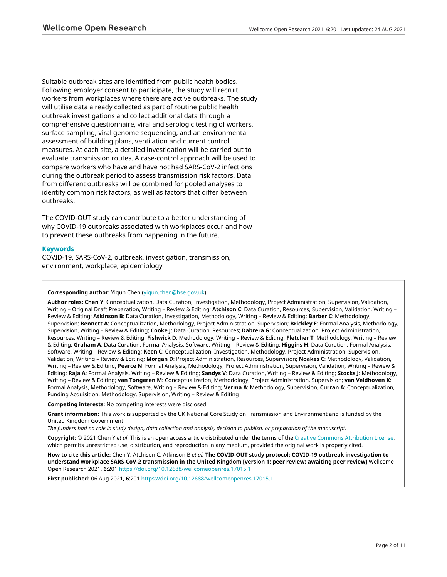Suitable outbreak sites are identified from public health bodies. Following employer consent to participate, the study will recruit workers from workplaces where there are active outbreaks. The study will utilise data already collected as part of routine public health outbreak investigations and collect additional data through a comprehensive questionnaire, viral and serologic testing of workers, surface sampling, viral genome sequencing, and an environmental assessment of building plans, ventilation and current control measures. At each site, a detailed investigation will be carried out to evaluate transmission routes. A case-control approach will be used to compare workers who have and have not had SARS-CoV-2 infections during the outbreak period to assess transmission risk factors. Data from different outbreaks will be combined for pooled analyses to identify common risk factors, as well as factors that differ between outbreaks.

The COVID-OUT study can contribute to a better understanding of why COVID-19 outbreaks associated with workplaces occur and how to prevent these outbreaks from happening in the future.

## **Keywords**

COVID-19, SARS-CoV-2, outbreak, investigation, transmission, environment, workplace, epidemiology

### **Corresponding author:** Yiqun Chen ([yiqun.chen@hse.gov.uk](mailto:yiqun.chen@hse.gov.uk))

**Author roles: Chen Y**: Conceptualization, Data Curation, Investigation, Methodology, Project Administration, Supervision, Validation, Writing – Original Draft Preparation, Writing – Review & Editing; **Atchison C**: Data Curation, Resources, Supervision, Validation, Writing – Review & Editing; **Atkinson B**: Data Curation, Investigation, Methodology, Writing – Review & Editing; **Barber C**: Methodology, Supervision; **Bennett A**: Conceptualization, Methodology, Project Administration, Supervision; **Brickley E**: Formal Analysis, Methodology, Supervision, Writing – Review & Editing; **Cooke J**: Data Curation, Resources; **Dabrera G**: Conceptualization, Project Administration, Resources, Writing – Review & Editing; **Fishwick D**: Methodology, Writing – Review & Editing; **Fletcher T**: Methodology, Writing – Review & Editing; **Graham A**: Data Curation, Formal Analysis, Software, Writing – Review & Editing; **Higgins H**: Data Curation, Formal Analysis, Software, Writing – Review & Editing; **Keen C**: Conceptualization, Investigation, Methodology, Project Administration, Supervision, Validation, Writing – Review & Editing; **Morgan D**: Project Administration, Resources, Supervision; **Noakes C**: Methodology, Validation, Writing – Review & Editing; **Pearce N**: Formal Analysis, Methodology, Project Administration, Supervision, Validation, Writing – Review & Editing; **Raja A**: Formal Analysis, Writing – Review & Editing; **Sandys V**: Data Curation, Writing – Review & Editing; **Stocks J**: Methodology, Writing – Review & Editing; **van Tongeren M**: Conceptualization, Methodology, Project Administration, Supervision; **van Veldhoven K**: Formal Analysis, Methodology, Software, Writing – Review & Editing; **Verma A**: Methodology, Supervision; **Curran A**: Conceptualization, Funding Acquisition, Methodology, Supervision, Writing – Review & Editing

**Competing interests:** No competing interests were disclosed.

**Grant information:** This work is supported by the UK National Core Study on Transmission and Environment and is funded by the United Kingdom Government.

*The funders had no role in study design, data collection and analysis, decision to publish, or preparation of the manuscript.*

**Copyright:** © 2021 Chen Y *et al*. This is an open access article distributed under the terms of the [Creative Commons Attribution License](http://creativecommons.org/licenses/by/4.0/), which permits unrestricted use, distribution, and reproduction in any medium, provided the original work is properly cited.

**How to cite this article:** Chen Y, Atchison C, Atkinson B *et al.* **The COVID-OUT study protocol: COVID-19 outbreak investigation to understand workplace SARS-CoV-2 transmission in the United Kingdom [version 1; peer review: awaiting peer review]** Wellcome Open Research 2021, **6**:201 <https://doi.org/10.12688/wellcomeopenres.17015.1>

**First published:** 06 Aug 2021, **6**:201 <https://doi.org/10.12688/wellcomeopenres.17015.1>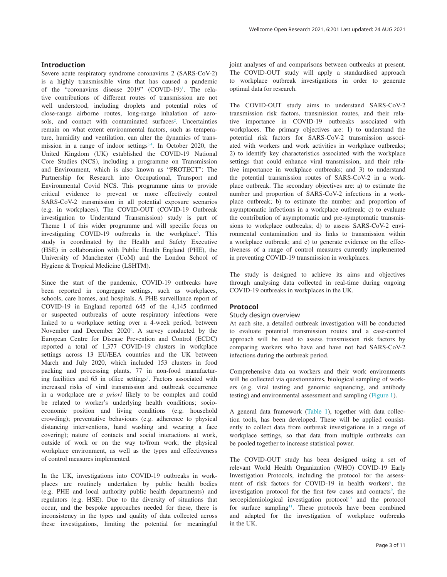## **Introduction**

Severe acute respiratory syndrome coronavirus 2 (SARS-CoV-2) is a highly transmissible virus that has caused a pandemic of the "coronavirus disease 2019" (COVID-19)<sup>1</sup>. The relative contributions of different routes of transmission are not well understood, including droplets and potential roles of close-range airborne routes, long-range inhalation of aerosols, and contact with contaminated surfaces<sup>2</sup>. Uncertainties remain on what extent environmental factors, such as temperature, humidity and ventilation, can alter the dynamics of transmission in a range of indoor settings<sup>3,4</sup>. In October 2020, the United Kingdom (UK) established the COVID-19 National Core Studies (NCS), including a programme on Transmission and Environment, which is also known as "PROTECT": The Partnership for Research into Occupational, Transport and Environmental Covid NCS. This programme aims to provide critical evidence to prevent or more effectively control SARS-CoV-2 transmission in all potential exposure scenarios (e.g. in workplaces). The COVID-OUT (COVID-19 Outbreak investigation to Understand Transmission) study is part of Theme 1 of this wider programme and will specific focus on investigating COVID-19 outbreaks in the workplace<sup>[5](#page-9-0)</sup>. This study is coordinated by the Health and Safety Executive (HSE) in collaboration with Public Health England (PHE), the University of Manchester (UoM) and the London School of Hygiene & Tropical Medicine (LSHTM).

Since the start of the pandemic, COVID-19 outbreaks have been reported in congregate settings, such as workplaces, schools, care homes, and hospitals. A PHE surveillance report of COVID-19 in England reported 645 of the 4,145 confirmed or suspected outbreaks of acute respiratory infections were linked to a workplace setting over a 4-week period, between November and December 2020<sup>[6](#page-9-0)</sup>. A survey conducted by the European Centre for Disease Prevention and Control (ECDC) reported a total of 1,377 COVID-19 clusters in workplace settings across 13 EU/EEA countries and the UK between March and July 2020, which included 153 clusters in food packing and processing plants, 77 in non-food manufactur-ing facilities and 65 in office settings<sup>[7](#page-9-0)</sup>. Factors associated with increased risks of viral transmission and outbreak occurrence in a workplace are *a priori* likely to be complex and could be related to worker's underlying health conditions; socioeconomic position and living conditions (e.g. household crowding); preventative behaviours (e.g. adherence to physical distancing interventions, hand washing and wearing a face covering); nature of contacts and social interactions at work, outside of work or on the way to/from work; the physical workplace environment, as well as the types and effectiveness of control measures implemented.

In the UK, investigations into COVID-19 outbreaks in workplaces are routinely undertaken by public health bodies (e.g. PHE and local authority public health departments) and regulators (e.g. HSE). Due to the diversity of situations that occur, and the bespoke approaches needed for these, there is inconsistency in the types and quality of data collected across these investigations, limiting the potential for meaningful

joint analyses of and comparisons between outbreaks at present. The COVID-OUT study will apply a standardised approach to workplace outbreak investigations in order to generate optimal data for research.

The COVID-OUT study aims to understand SARS-CoV-2 transmission risk factors, transmission routes, and their relative importance in COVID-19 outbreaks associated with workplaces. The primary objectives are: 1) to understand the potential risk factors for SARS-CoV-2 transmission associated with workers and work activities in workplace outbreaks; 2) to identify key characteristics associated with the workplace settings that could enhance viral transmission, and their relative importance in workplace outbreaks; and 3) to understand the potential transmission routes of SARS-CoV-2 in a workplace outbreak. The secondary objectives are: a) to estimate the number and proportion of SARS-CoV-2 infections in a workplace outbreak; b) to estimate the number and proportion of asymptomatic infections in a workplace outbreak; c) to evaluate the contribution of asymptomatic and pre-symptomatic transmissions to workplace outbreaks; d) to assess SARS-CoV-2 environmental contamination and its links to transmission within a workplace outbreak; and e) to generate evidence on the effectiveness of a range of control measures currently implemented in preventing COVID-19 transmission in workplaces.

The study is designed to achieve its aims and objectives through analysing data collected in real-time during ongoing COVID-19 outbreaks in workplaces in the UK.

## **Protocol**

### Study design overview

At each site, a detailed outbreak investigation will be conducted to evaluate potential transmission routes and a case-control approach will be used to assess transmission risk factors by comparing workers who have and have not had SARS-CoV-2 infections during the outbreak period.

Comprehensive data on workers and their work environments will be collected via questionnaires, biological sampling of workers (e.g. viral testing and genomic sequencing, and antibody testing) and environmental assessment and sampling ([Figure 1](#page-3-0)).

A general data framework ([Table 1](#page-3-0)), together with data collection tools, has been developed. These will be applied consistently to collect data from outbreak investigations in a range of workplace settings, so that data from multiple outbreaks can be pooled together to increase statistical power.

The COVID-OUT study has been designed using a set of relevant World Health Organization (WHO) COVID-19 Early Investigation Protocols, including the protocol for the assess-ment of risk factors for COVID-19 in health workers<sup>[8](#page-9-0)</sup>, the investigation protocol for the first few cases and contacts<sup>9</sup>, the seroepidemiological investigation protocol<sup>10</sup> and the protocol for surface sampling<sup>11</sup>. These protocols have been combined and adapted for the investigation of workplace outbreaks in the UK.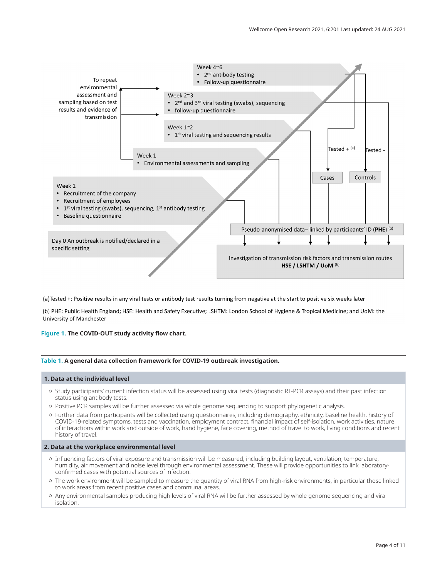<span id="page-3-0"></span>

(a) Tested +: Positive results in any viral tests or antibody test results turning from negative at the start to positive six weeks later

(b) PHE: Public Health England; HSE: Health and Safety Executive; LSHTM: London School of Hygiene & Tropical Medicine; and UoM: the University of Manchester

## **Figure 1. The COVID-OUT study activity flow chart.**

## **Table 1. A general data collection framework for COVID-19 outbreak investigation.**

## **1. Data at the individual level**

- Study participants' current infection status will be assessed using viral tests (diagnostic RT-PCR assays) and their past infection status using antibody tests.
- Positive PCR samples will be further assessed via whole genome sequencing to support phylogenetic analysis.
- Further data from participants will be collected using questionnaires, including demography, ethnicity, baseline health, history of COVID-19-related symptoms, tests and vaccination, employment contract, financial impact of self-isolation, work activities, nature of interactions within work and outside of work, hand hygiene, face covering, method of travel to work, living conditions and recent history of travel.

#### **2. Data at the workplace environmental level**

- Influencing factors of viral exposure and transmission will be measured, including building layout, ventilation, temperature, humidity, air movement and noise level through environmental assessment. These will provide opportunities to link laboratoryconfirmed cases with potential sources of infection.
- The work environment will be sampled to measure the quantity of viral RNA from high-risk environments, in particular those linked to work areas from recent positive cases and communal areas.
- Any environmental samples producing high levels of viral RNA will be further assessed by whole genome sequencing and viral isolation.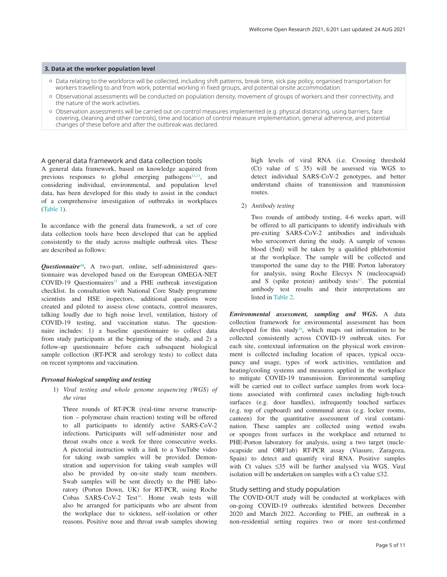#### **3. Data at the worker population level**

- Data relating to the workforce will be collected, including shift patterns, break time, sick pay policy, organised transportation for workers travelling to and from work, potential working in fixed groups, and potential onsite accommodation.
- Observational assessments will be conducted on population density, movement of groups of workers and their connectivity, and the nature of the work activities.
- Observation assessments will be carried out on control measures implemented (e.g. physical distancing, using barriers, face covering, cleaning and other controls), time and location of control measure implementation, general adherence, and potential changes of these before and after the outbreak was declared.

#### A general data framework and data collection tools

A general data framework, based on knowledge acquired from previous responses to global emerging pathogens<sup>[12,13](#page-9-0)</sup>, and considering individual, environmental, and population level data, has been developed for this study to assist in the conduct of a comprehensive investigation of outbreaks in workplaces ([Table 1](#page-3-0)).

In accordance with the general data framework, a set of core data collection tools have been developed that can be applied consistently to the study across multiple outbreak sites. These are described as follows:

*Questionnaire[14](#page-9-0)***.** A two-part, online, self-administered questionnaire was developed based on the European OMEGA-NET  $COVID-19$  Questionnaires<sup>[15](#page-9-0)</sup> and a PHE outbreak investigation checklist. In consultation with National Core Study programme scientists and HSE inspectors, additional questions were created and piloted to assess close contacts, control measures, talking loudly due to high noise level, ventilation, history of COVID-19 testing, and vaccination status. The questionnaire includes: 1) a baseline questionnaire to collect data from study participants at the beginning of the study, and 2) a follow-up questionnaire before each subsequent biological sample collection (RT-PCR and serology tests) to collect data on recent symptoms and vaccination.

#### *Personal biological sampling and testing*

1) *Viral testing and whole genome sequencing (WGS) of the virus*

 Three rounds of RT-PCR (real-time reverse transcription – polymerase chain reaction) testing will be offered to all participants to identify active SARS-CoV-2 infections. Participants will self-administer nose and throat swabs once a week for three consecutive weeks. A pictorial instruction with a link to a YouTube video for taking swab samples will be provided. Demonstration and supervision for taking swab samples will also be provided by on-site study team members. Swab samples will be sent directly to the PHE laboratory (Porton Down, UK) for RT-PCR, using Roche Cobas SARS-CoV-2 Test<sup>16</sup>. Home swab tests will also be arranged for participants who are absent from the workplace due to sickness, self-isolation or other reasons. Positive nose and throat swab samples showing

high levels of viral RNA (i.e. Crossing threshold (Ct) value of  $\leq$  35) will be assessed via WGS to detect individual SARS-CoV-2 genotypes, and better understand chains of transmission and transmission routes.

#### 2) *Antibody testing*

 Two rounds of antibody testing, 4-6 weeks apart, will be offered to all participants to identify individuals with pre-exiting SARS-CoV-2 antibodies and individuals who seroconvert during the study. A sample of venous blood (5ml) will be taken by a qualified phlebotomist at the workplace. The sample will be collected and transported the same day to the PHE Porton laboratory for analysis, using Roche Elecsys N (nucleocapsid) and S (spike protein) antibody tests $17$ . The potential antibody test results and their interpretations are listed in [Table 2.](#page-5-0)

*Environmental assessment, sampling and WGS***.** A data collection framework for environmental assessment has been developed for this study<sup>18</sup>, which maps out information to be collected consistently across COVID-19 outbreak sites. For each site, contextual information on the physical work environment is collected including location of spaces, typical occupancy and usage, types of work activities, ventilation and heating/cooling systems and measures applied in the workplace to mitigate COVID-19 transmission. Environmental sampling will be carried out to collect surface samples from work locations associated with confirmed cases including high-touch surfaces (e.g. door handles), infrequently touched surfaces (e.g. top of cupboard) and communal areas (e.g. locker rooms, canteen) for the quantitative assessment of viral contamination. These samples are collected using wetted swabs or sponges from surfaces in the workplace and returned to PHE-Porton laboratory for analysis, using a two target (nucleocapside and ORF1ab) RT-PCR assay (Viasure, Zaragoza, Spain) to detect and quantify viral RNA. Positive samples with Ct values ≤35 will be further analysed via WGS. Viral isolation will be undertaken on samples with a Ct value ≤32.

## Study setting and study population

The COVID-OUT study will be conducted at workplaces with on-going COVID-19 outbreaks identified between December 2020 and March 2022. According to PHE, an outbreak in a non-residential setting requires two or more test-confirmed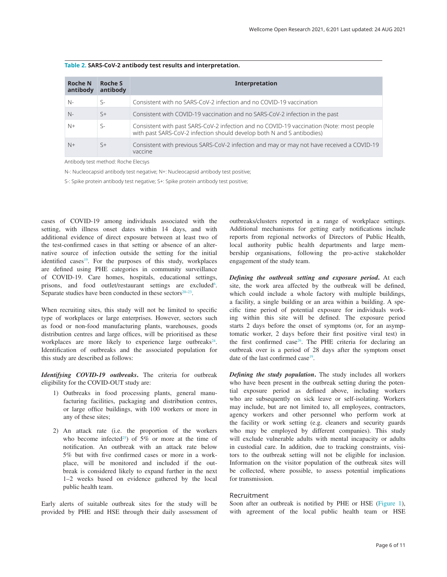<span id="page-5-0"></span>

| <b>Roche N</b><br>antibody | Roche S<br>antibody | <b>Interpretation</b>                                                                                                                                              |  |  |
|----------------------------|---------------------|--------------------------------------------------------------------------------------------------------------------------------------------------------------------|--|--|
| $N-$                       | $\varsigma$ -       | Consistent with no SARS-CoV-2 infection and no COVID-19 vaccination                                                                                                |  |  |
| $N-$                       | $\varsigma$ +       | Consistent with COVID-19 vaccination and no SARS-CoV-2 infection in the past                                                                                       |  |  |
| $N+$                       | $S-$                | Consistent with past SARS-CoV-2 infection and no COVID-19 vaccination (Note: most people<br>with past SARS-CoV-2 infection should develop both N and S antibodies) |  |  |
| $N+$                       | $\varsigma_{+}$     | Consistent with previous SARS-CoV-2 infection and may or may not have received a COVID-19<br>vaccine                                                               |  |  |

Antibody test method: Roche Elecsys

N-: Nucleocapsid antibody test negative; N+: Nucleocapsid antibody test positive;

S-: Spike protein antibody test negative; S+: Spike protein antibody test positive;

cases of COVID-19 among individuals associated with the setting, with illness onset dates within 14 days, and with additional evidence of direct exposure between at least two of the test-confirmed cases in that setting or absence of an alternative source of infection outside the setting for the initial identified cases<sup>19</sup>. For the purposes of this study, workplaces are defined using PHE categories in community surveillance of COVID-19. Care homes, hospitals, educational settings, prisons, and food outlet/restaurant settings are excluded<sup>[6](#page-9-0)</sup>. Separate studies have been conducted in these sectors $20-23$ .

When recruiting sites, this study will not be limited to specific type of workplaces or large enterprises. However, sectors such as food or non-food manufacturing plants, warehouses, goods distribution centres and large offices, will be prioritised as these workplaces are more likely to experience large outbreaks $24$ . Identification of outbreaks and the associated population for this study are described as follows:

*Identifying COVID-19 outbreaks***.** The criteria for outbreak eligibility for the COVID-OUT study are:

- 1) Outbreaks in food processing plants, general manufacturing facilities, packaging and distribution centres, or large office buildings, with 100 workers or more in any of these sites;
- 2) An attack rate (i.e. the proportion of the workers who become infected<sup>25</sup>) of 5% or more at the time of notification. An outbreak with an attack rate below 5% but with five confirmed cases or more in a workplace, will be monitored and included if the outbreak is considered likely to expand further in the next 1–2 weeks based on evidence gathered by the local public health team.

Early alerts of suitable outbreak sites for the study will be provided by PHE and HSE through their daily assessment of outbreaks/clusters reported in a range of workplace settings. Additional mechanisms for getting early notifications include reports from regional networks of Directors of Public Health, local authority public health departments and large membership organisations, following the pro-active stakeholder engagement of the study team.

*Defining the outbreak setting and exposure period***.** At each site, the work area affected by the outbreak will be defined, which could include a whole factory with multiple buildings, a facility, a single building or an area within a building. A specific time period of potential exposure for individuals working within this site will be defined. The exposure period starts 2 days before the onset of symptoms (or, for an asymptomatic worker, 2 days before their first positive viral test) in the first confirmed case<sup>26</sup>. The PHE criteria for declaring an outbreak over is a period of 28 days after the symptom onset date of the last confirmed case<sup>[19](#page-9-0)</sup>.

*Defining the study population***.** The study includes all workers who have been present in the outbreak setting during the potential exposure period as defined above, including workers who are subsequently on sick leave or self-isolating. Workers may include, but are not limited to, all employees, contractors, agency workers and other personnel who perform work at the facility or work setting (e.g. cleaners and security guards who may be employed by different companies). This study will exclude vulnerable adults with mental incapacity or adults in custodial care. In addition, due to tracking constraints, visitors to the outbreak setting will not be eligible for inclusion. Information on the visitor population of the outbreak sites will be collected, where possible, to assess potential implications for transmission.

## Recruitment

Soon after an outbreak is notified by PHE or HSE [\(Figure 1](#page-3-0)), with agreement of the local public health team or HSE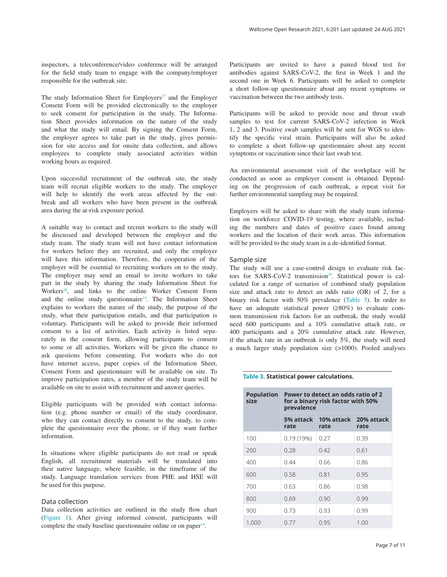inspectors, a teleconference/video conference will be arranged for the field study team to engage with the company/employer responsible for the outbreak site.

The study Information Sheet for Employers<sup>27</sup> and the Employer Consent Form will be provided electronically to the employer to seek consent for participation in the study. The Information Sheet provides information on the nature of the study and what the study will entail. By signing the Consent Form, the employer agrees to take part in the study, gives permission for site access and for onsite data collection, and allows employees to complete study associated activities within working hours as required.

Upon successful recruitment of the outbreak site, the study team will recruit eligible workers to the study. The employer will help to identify the work areas affected by the outbreak and all workers who have been present in the outbreak area during the at-risk exposure period.

A suitable way to contact and recruit workers to the study will be discussed and developed between the employer and the study team. The study team will not have contact information for workers before they are recruited, and only the employer will have this information. Therefore, the cooperation of the employer will be essential to recruiting workers on to the study. The employer may send an email to invite workers to take part in the study by sharing the study Information Sheet for Workers<sup>[28](#page-10-0)</sup>, and links to the online Worker Consent Form and the online study questionnaire<sup>14</sup>. The Information Sheet explains to workers the nature of the study, the purpose of the study, what their participation entails, and that participation is voluntary. Participants will be asked to provide their informed consent to a list of activities. Each activity is listed separately in the consent form, allowing participants to consent to some or all activities. Workers will be given the chance to ask questions before consenting. For workers who do not have internet access, paper copies of the Information Sheet, Consent Form and questionnaire will be available on site. To improve participation rates, a member of the study team will be available on site to assist with recruitment and answer queries.

Eligible participants will be provided with contact information (e.g. phone number or email) of the study coordinator, who they can contact directly to consent to the study, to complete the questionnaire over the phone, or if they want further information.

In situations where eligible participants do not read or speak English, all recruitment materials will be translated into their native language, where feasible, in the timeframe of the study. Language translation services from PHE and HSE will be used for this purpose.

### Data collection

Data collection activities are outlined in the study flow chart ([Figure 1](#page-3-0)). After giving informed consent, participants will complete the study baseline questionnaire online or on paper $14$ .

Participants are invited to have a paired blood test for antibodies against SARS-CoV-2, the first in Week 1 and the second one in Week 6. Participants will be asked to complete a short follow-up questionnaire about any recent symptoms or vaccination between the two antibody tests.

Participants will be asked to provide nose and throat swab samples to test for current SARS-CoV-2 infection in Week 1, 2 and 3. Positive swab samples will be sent for WGS to identify the specific viral strain. Participants will also be asked to complete a short follow-up questionnaire about any recent symptoms or vaccination since their last swab test.

An environmental assessment visit of the workplace will be conducted as soon as employer consent is obtained. Depending on the progression of each outbreak, a repeat visit for further environmental sampling may be required.

Employers will be asked to share with the study team information on workforce COVID-19 testing, where available, including the numbers and dates of positive cases found among workers and the location of their work areas. This information will be provided to the study team in a de-identified format.

#### Sample size

The study will use a case-control design to evaluate risk factors for SARS-CoV-2 transmission<sup>29</sup>. Statistical power is calculated for a range of scenarios of combined study population size and attack rate to detect an odds ratio (OR) of 2, for a binary risk factor with 50% prevalence (Table 3). In order to have an adequate statistical power (≥80%) to evaluate common transmission risk factors for an outbreak, the study would need 600 participants and a 10% cumulative attack rate, or 400 participants and a 20% cumulative attack rate. However, if the attack rate in an outbreak is only 5%, the study will need a much larger study population size (>1000). Pooled analyses

#### **Table 3. Statistical power calculations.**

| <b>Population</b><br>size | Power to detect an odds ratio of 2<br>for a binary risk factor with 50%<br>prevalence |                                         |      |  |
|---------------------------|---------------------------------------------------------------------------------------|-----------------------------------------|------|--|
|                           | rate                                                                                  | 5% attack 10% attack 20% attack<br>rate | rate |  |
| 100                       | 0.19(19%)                                                                             | 0.27                                    | 0.39 |  |
| 200                       | 0.28                                                                                  | 0.42                                    | 0.61 |  |
| 400                       | 0.44                                                                                  | 0.66                                    | 0.86 |  |
| 600                       | 0.58                                                                                  | 0.81                                    | 0.95 |  |
| 700                       | 0.63                                                                                  | 0.86                                    | 0.98 |  |
| 800                       | 0.69                                                                                  | 0.90                                    | 0.99 |  |
| 900                       | 0.73                                                                                  | 0.93                                    | 0.99 |  |
| 1,000                     | 0.77                                                                                  | 0.95                                    | 1.00 |  |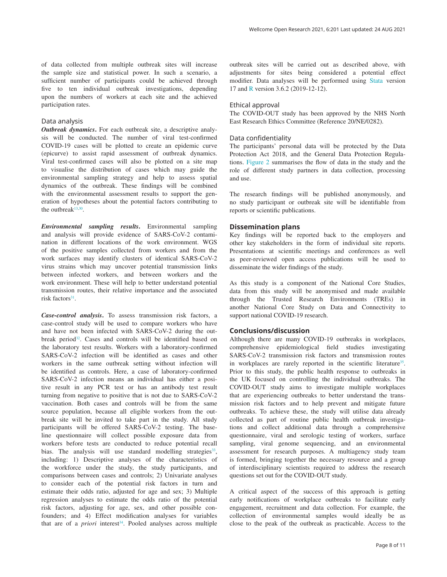of data collected from multiple outbreak sites will increase the sample size and statistical power. In such a scenario, a sufficient number of participants could be achieved through five to ten individual outbreak investigations, depending upon the numbers of workers at each site and the achieved participation rates.

## Data analysis

*Outbreak dynamics***.** For each outbreak site, a descriptive analysis will be conducted. The number of viral test-confirmed COVID-19 cases will be plotted to create an epidemic curve (epicurve) to assist rapid assessment of outbreak dynamics. Viral test-confirmed cases will also be plotted on a site map to visualise the distribution of cases which may guide the environmental sampling strategy and help to assess spatial dynamics of the outbreak. These findings will be combined with the environmental assessment results to support the generation of hypotheses about the potential factors contributing to the outbreak $13,30$  $13,30$ .

*Environmental sampling results***.** Environmental sampling and analysis will provide evidence of SARS-CoV-2 contamination in different locations of the work environment. WGS of the positive samples collected from workers and from the work surfaces may identify clusters of identical SARS-CoV-2 virus strains which may uncover potential transmission links between infected workers, and between workers and the work environment. These will help to better understand potential transmission routes, their relative importance and the associated risk factors $31$ .

*Case-control analysis***.** To assess transmission risk factors, a case-control study will be used to compare workers who have and have not been infected with SARS-CoV-2 during the outbreak period<sup>32</sup>. Cases and controls will be identified based on the laboratory test results. Workers with a laboratory-confirmed SARS-CoV-2 infection will be identified as cases and other workers in the same outbreak setting without infection will be identified as controls. Here, a case of laboratory-confirmed SARS-CoV-2 infection means an individual has either a positive result in any PCR test or has an antibody test result turning from negative to positive that is not due to SARS-CoV-2 vaccination. Both cases and controls will be from the same source population, because all eligible workers from the outbreak site will be invited to take part in the study. All study participants will be offered SARS-CoV-2 testing. The baseline questionnaire will collect possible exposure data from workers before tests are conducted to reduce potential recall bias. The analysis will use standard modelling strategies<sup>33</sup>, including: 1) Descriptive analyses of the characteristics of the workforce under the study, the study participants, and comparisons between cases and controls; 2) Univariate analyses to consider each of the potential risk factors in turn and estimate their odds ratio, adjusted for age and sex; 3) Multiple regression analyses to estimate the odds ratio of the potential risk factors, adjusting for age, sex, and other possible confounders; and 4) Effect modification analyses for variables that are of a *priori* interest<sup>34</sup>. Pooled analyses across multiple

outbreak sites will be carried out as described above, with adjustments for sites being considered a potential effect modifier. Data analyses will be performed using [Stata](https://www.stata.com/) version 17 and [R](https://www.r-project.org/) version 3.6.2 (2019-12-12).

## Ethical approval

The COVID-OUT study has been approved by the NHS North East Research Ethics Committee (Reference 20/NE/0282).

## Data confidentiality

The participants' personal data will be protected by the Data Protection Act 2018, and the General Data Protection Regulations. [Figure 2](#page-8-0) summarises the flow of data in the study and the role of different study partners in data collection, processing and use.

The research findings will be published anonymously, and no study participant or outbreak site will be identifiable from reports or scientific publications.

#### **Dissemination plans**

Key findings will be reported back to the employers and other key stakeholders in the form of individual site reports. Presentations at scientific meetings and conferences as well as peer-reviewed open access publications will be used to disseminate the wider findings of the study.

As this study is a component of the National Core Studies, data from this study will be anonymised and made available through the Trusted Research Environments (TREs) in another National Core Study on Data and Connectivity to support national COVID-19 research.

#### **Conclusions/discussion**

Although there are many COVID-19 outbreaks in workplaces, comprehensive epidemiological field studies investigating SARS-CoV-2 transmission risk factors and transmission routes in workplaces are rarely reported in the scientific literature<sup>35</sup>. Prior to this study, the public health response to outbreaks in the UK focused on controlling the individual outbreaks. The COVID-OUT study aims to investigate multiple workplaces that are experiencing outbreaks to better understand the transmission risk factors and to help prevent and mitigate future outbreaks. To achieve these, the study will utilise data already collected as part of routine public health outbreak investigations and collect additional data through a comprehensive questionnaire, viral and serologic testing of workers, surface sampling, viral genome sequencing, and an environmental assessment for research purposes. A multiagency study team is formed, bringing together the necessary resource and a group of interdisciplinary scientists required to address the research questions set out for the COVID-OUT study.

A critical aspect of the success of this approach is getting early notifications of workplace outbreaks to facilitate early engagement, recruitment and data collection. For example, the collection of environmental samples would ideally be as close to the peak of the outbreak as practicable. Access to the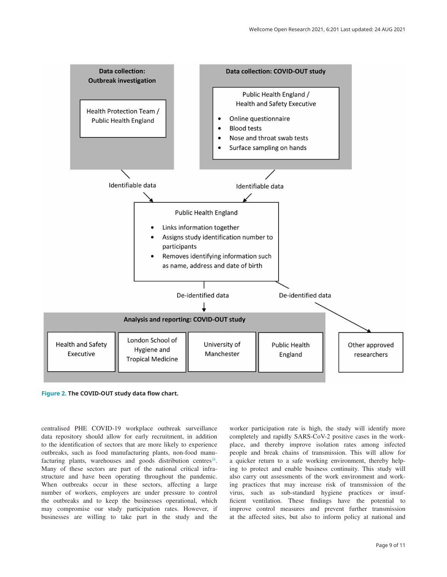<span id="page-8-0"></span>

**Figure 2. The COVID-OUT study data flow chart.**

centralised PHE COVID-19 workplace outbreak surveillance data repository should allow for early recruitment, in addition to the identification of sectors that are more likely to experience outbreaks, such as food manufacturing plants, non-food manufacturing plants, warehouses and goods distribution centres $24$ . Many of these sectors are part of the national critical infrastructure and have been operating throughout the pandemic. When outbreaks occur in these sectors, affecting a large number of workers, employers are under pressure to control the outbreaks and to keep the businesses operational, which may compromise our study participation rates. However, if businesses are willing to take part in the study and the worker participation rate is high, the study will identify more completely and rapidly SARS-CoV-2 positive cases in the workplace, and thereby improve isolation rates among infected people and break chains of transmission. This will allow for a quicker return to a safe working environment, thereby helping to protect and enable business continuity. This study will also carry out assessments of the work environment and working practices that may increase risk of transmission of the virus, such as sub-standard hygiene practices or insufficient ventilation. These findings have the potential to improve control measures and prevent further transmission at the affected sites, but also to inform policy at national and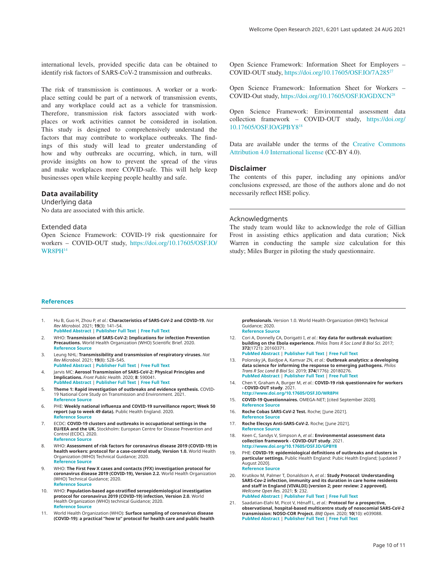<span id="page-9-0"></span>international levels, provided specific data can be obtained to identify risk factors of SARS-CoV-2 transmission and outbreaks.

The risk of transmission is continuous. A worker or a workplace setting could be part of a network of transmission events, and any workplace could act as a vehicle for transmission. Therefore, transmission risk factors associated with workplaces or work activities cannot be considered in isolation. This study is designed to comprehensively understand the factors that may contribute to workplace outbreaks. The findings of this study will lead to greater understanding of how and why outbreaks are occurring, which, in turn, will provide insights on how to prevent the spread of the virus and make workplaces more COVID-safe. This will help keep businesses open while keeping people healthy and safe.

## **Data availability**

Underlying data No data are associated with this article.

## Extended data

Open Science Framework: COVID-19 risk questionnaire for workers – COVID-OUT study, [https://doi.org/10.17605/OSF.IO/](https://doi.org/10.17605/OSF.IO/WR8PH) [WR8PH](https://doi.org/10.17605/OSF.IO/WR8PH)14

Open Science Framework: Information Sheet for Employers – COVID-OUT study, <https://doi.org/10.17605/OSF.IO/7A285>[27](#page-10-0)

Open Science Framework: Information Sheet for Workers – COVID-Out study, <https://doi.org/10.17605/OSF.IO/GDXCN>[28](#page-10-0)

Open Science Framework: Environmental assessment data collection framework – COVID-OUT study, [https://doi.org/](https://doi.org/10.17605/OSF.IO/GPBY8) [10.17605/OSF.IO/GPBY8](https://doi.org/10.17605/OSF.IO/GPBY8)18

Data are available under the terms of the [Creative Commons](https://creativecommons.org/licenses/by/4.0/)  [Attribution 4.0 International license](https://creativecommons.org/licenses/by/4.0/) (CC-BY 4.0).

#### **Disclaimer**

The contents of this paper, including any opinions and/or conclusions expressed, are those of the authors alone and do not necessarily reflect HSE policy.

#### Acknowledgments

The study team would like to acknowledge the role of Gillian Frost in assisting ethics application and data curation; Nick Warren in conducting the sample size calculation for this study; Miles Burger in piloting the study questionnaire.

#### **References**

- 1. Hu B, Guo H, Zhou P, *et al.*: **Characteristics of SARS-CoV-2 and COVID-19.** *Nat Rev Microbiol.* 2021; **19**(3): 141–54. **[PubMed Abstract](http://www.ncbi.nlm.nih.gov/pubmed/33024307)** | **[Publisher Full Text](http://dx.doi.org/10.1038/s41579-020-00459-7)** | **[Free Full Text](http://www.ncbi.nlm.nih.gov/pmc/articles/7537588)**
- 2. WHO: **Transmission of SARS-CoV-2: Implications for infection Prevention Precautions.** World Health Organization (WHO) Scientific Brief. 2020. **[Reference Source](https://www.who.int/news-room/commentaries/detail/transmission-of-sars-cov-2-implications-for-infection-prevention-precautions)**
- 3. Leung NHL: **Transmissibility and transmission of respiratory viruses.** *Nat Rev Microbiol.* 2021; **19**(8): 528–545.
- **[PubMed Abstract](http://www.ncbi.nlm.nih.gov/pubmed/33753932)** | **[Publisher Full Text](http://dx.doi.org/10.1038/s41579-021-00535-6)** | **[Free Full Text](http://www.ncbi.nlm.nih.gov/pmc/articles/7982882)** 4. Jarvis MC: **Aerosol Transmission of SARS-CoV-2: Physical Principles and Implications.** *Front Public Health.* 2020; **8**: 590041. **[PubMed Abstract](http://www.ncbi.nlm.nih.gov/pubmed/33330334)** | **[Publisher Full Text](http://dx.doi.org/10.3389/fpubh.2020.590041)** | **[Free Full Text](http://www.ncbi.nlm.nih.gov/pmc/articles/7719704)**
- 5. **Theme 1: Rapid investigation of outbreaks and evidence synthesis.** COVID-19 National Core Study on Transmission and Environment. 2021. **[Reference Source](https://sites.manchester.ac.uk/covid19-national-project/rapid-investigation-of-outbreaks-and-evidence-synthesis/)**
- 6. PHE: **Weekly national influenza and COVID-19 surveillance report; Week 50 report (up to week 49 data).** Public Health England. 2020. **[Reference Source](https://assets.publishing.service.gov.uk/government/uploads/system/uploads/attachment_data/file/942969/Weekly_Flu_and_COVID-19_report_w50_FINAL.PDF)**
- 7. ECDC: **COVID-19 clusters and outbreaks in occupational settings in the EU/EEA and the UK.** Stockholm: European Centre for Disease Prevention and Control (ECDC). 2020. **[Reference Source](https://www.ecdc.europa.eu/sites/default/files/documents/COVID-19-in-occupational-settings.pdf)**
- 8. WHO: **Assessment of risk factors for coronavirus disease 2019 (COVID-19) in health workers: protocol for a case-control study, Version 1.0.** World Health Organization (WHO) Technical Guidance; 2020. **[Reference Source](https://www.who.int/publications/i/item/assessment-of-risk-factors-for-coronavirus-disease-2019-(covid-19)-in-health-workers-protocol-for-a-case-control-study)**
- 9. WHO: **The First Few X cases and contacts (FFX) investigation protocol for coronavirus disease 2019 (COVID-19), Version 2.2.** World Health Organization (WHO) Technical Guidance; 2020. **[Reference Source](https://www.who.int/publications/i/item/the-first-few-x-cases-and-contacts-(-ffx)-investigation-protocol-for-coronavirus-disease-2019-(-covid-19)-version-2.2)**
- 10. WHO: **Population-based age-stratified seroepidemiological investigation protocol for coronavirus 2019 (COVID-19) infection, Version 2.0.** World Health Organization (WHO) technical Guidance; 2020. **[Reference Source](https://www.who.int/publications/i/item/WHO-2019-nCoV-Seroepidemiology-2020.2)**
- 11. World Health Organization (WHO): **Surface sampling of coronavirus disease (COVID-19): a practical "how to" protocol for health care and public health**

**professionals.** Version 1.0. World Health Organization (WHO) Technical Guidance; 2020. **[Reference Source](https://www.who.int/publications/i/item/surface-sampling-of-coronavirus-disease-(-covid-19)-a-practical-how-to-protocol-for-health-care-and-public-health-professionals)**

- 12. Cori A, Donnelly CA, Dorigatti I, *et al.*: **Key data for outbreak evaluation: building on the Ebola experience.** *Philos Trans R Soc Lond B Biol Sci.* 2017; **372**(1721): 20160371. **[PubMed Abstract](http://www.ncbi.nlm.nih.gov/pubmed/28396480)** | **[Publisher Full Text](http://dx.doi.org/10.1098/rstb.2016.0371)** | **[Free Full Text](http://www.ncbi.nlm.nih.gov/pmc/articles/5394647)**
- 13. Polonsky JA, Baidjoe A, Kamvar ZN, *et al.*: **Outbreak analytics: a developing data science for informing the response to emerging pathogens.** *Philos Trans R Soc Lond B Biol Sci.* 2019; **374**(1776): 20180276. **[PubMed Abstract](http://www.ncbi.nlm.nih.gov/pubmed/31104603)** | **[Publisher Full Text](http://dx.doi.org/10.1098/rstb.2018.0276)** | **[Free Full Text](http://www.ncbi.nlm.nih.gov/pmc/articles/6558557)**
- 14. Chen Y, Graham A, Burger M, *et al.*: **COVID-19 risk questionnaire for workers - COVID-OUT study**. 2021.
- **[http://www.doi.org/10.17605/OSF.IO/WR8P](http://www.doi.org/10.17605/OSF.IO/WR8PH)H** 15. **COVID-19 Questionnaires.** OMEGA-NET; [cited September 2020]. **[Reference Source](https://omeganetcohorts.eu/news/covid19-questionnaires-omeganet/)**
- 16. **Roche Cobas SARS-CoV-2 Test.** Roche; [June 2021]. **[Reference Source](https://diagnostics.roche.com/global/en/products/params/cobas-sars-cov-2-test.html)**
- 17. **Roche Elecsys Anti-SARS-CoV-2.** Roche; [June 2021]. **[Reference Source](https://diagnostics.roche.com/global/en/products/params/elecsys-anti-sars-cov-2.html)**
- 18. Keen C, Sandys V, Simpson A, *et al.*: **Environmental assessment data collection framework - COVID-OUT study**. 2021. **[http://www.doi.org/10.17605/OSF.IO/GPBY](http://www.doi.org/10.17605/OSF.IO/GPBY8)8**
- 19. PHE: **COVID-19: epidemiological definitions of outbreaks and clusters in particular settings.** Public Health England: Pubic Health England; [updated 7<br>August 2020]. **[Reference Source](https://www.gov.uk/government/publications/covid-19-epidemiological-definitions-of-outbreaks-and-clusters/covid-19-epidemiological-definitions-of-outbreaks-and-clusters-in-particular-settings#fnref:1)**
- 20. Krutikov M, Palmer T, Donaldson A, *et al.*: **Study Protocol: Understanding SARS-Cov-2 infection, immunity and its duration in care home residents and staff in England (VIVALDI) [version 2; peer review: 2 approved].** *Wellcome Open Res.* 2021; **5**: 232. **[PubMed Abstract](http://www.ncbi.nlm.nih.gov/pubmed/33564722)** | **[Publisher Full Text](http://dx.doi.org/10.12688/wellcomeopenres.16193.2)** | **[Free Full Text](http://www.ncbi.nlm.nih.gov/pmc/articles/7851710)**
- 21. Saadatian-Elahi M, Picot V, Hénaff L, *et al.*: **Protocol for a prospective, observational, hospital-based multicentre study of nosocomial SARS-CoV-2 transmission: NOSO-COR Project.** *BMJ Open.* 2020; **10**(10): e039088. **[PubMed Abstract](http://www.ncbi.nlm.nih.gov/pubmed/33093033)** | **[Publisher Full Text](http://dx.doi.org/10.1136/bmjopen-2020-039088)** | **[Free Full Text](http://www.ncbi.nlm.nih.gov/pmc/articles/7582335)**